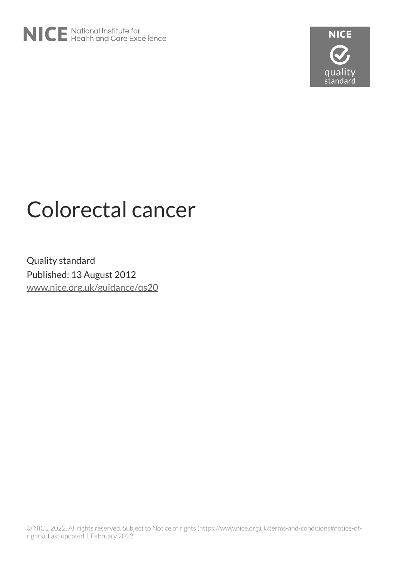



# Colorectal cancer

Quality standard Published: 13 August 2012 [www.nice.org.uk/guidance/qs20](https://www.nice.org.uk/guidance/qs20)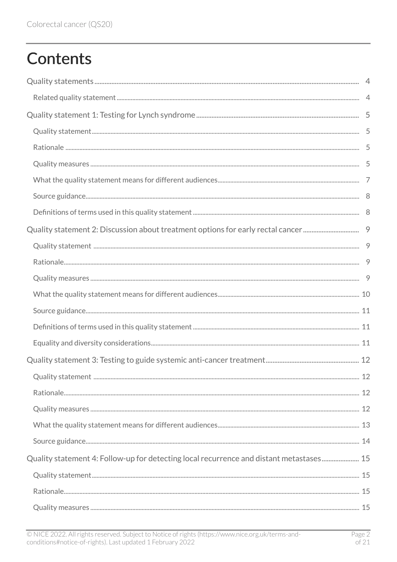# **Contents**

| Quality statement 4: Follow-up for detecting local recurrence and distant metastases 15 |  |
|-----------------------------------------------------------------------------------------|--|
|                                                                                         |  |
|                                                                                         |  |
|                                                                                         |  |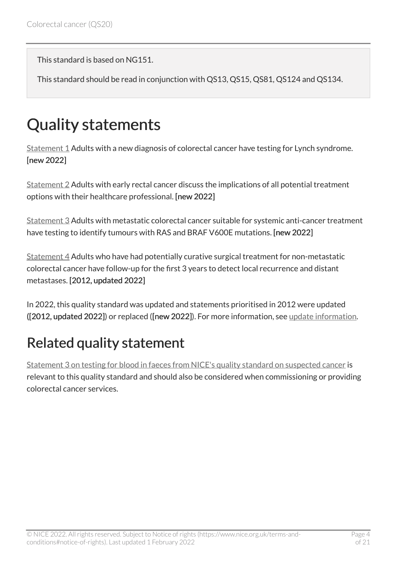This standard is based on NG151.

This standard should be read in conjunction with QS13, QS15, QS81, QS124 and QS134.

# <span id="page-3-0"></span>Quality statements

[Statement 1](#page-4-0) Adults with a new diagnosis of colorectal cancer have testing for Lynch syndrome. [new 2022]

[Statement 2](#page-8-0) Adults with early rectal cancer discuss the implications of all potential treatment options with their healthcare professional. [new 2022]

[Statement 3](#page-11-0) Adults with metastatic colorectal cancer suitable for systemic anti-cancer treatment have testing to identify tumours with RAS and BRAF V600E mutations. [new 2022]

[Statement 4](#page-14-0) Adults who have had potentially curative surgical treatment for non-metastatic colorectal cancer have follow-up for the first 3 years to detect local recurrence and distant metastases. [2012, updated 2022]

In 2022, this quality standard was updated and statements prioritised in 2012 were updated ([2012, updated 2022]) or replaced ([new 2022]). For more information, see [update information.](#page-18-0)

### <span id="page-3-1"></span>Related quality statement

[Statement 3 on testing for blood in faeces from NICE's quality standard on suspected cancer](https://www.nice.org.uk/guidance/qs124/chapter/Quality-statement-3-Testing-for-blood-in-faeces) is relevant to this quality standard and should also be considered when commissioning or providing colorectal cancer services.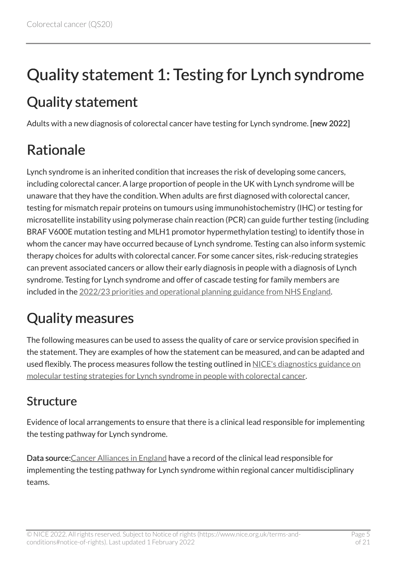# <span id="page-4-0"></span>Quality statement 1: Testing for Lynch syndrome

### <span id="page-4-1"></span>Quality statement

Adults with a new diagnosis of colorectal cancer have testing for Lynch syndrome. [new 2022]

# <span id="page-4-2"></span>Rationale

Lynch syndrome is an inherited condition that increases the risk of developing some cancers, including colorectal cancer. A large proportion of people in the UK with Lynch syndrome will be unaware that they have the condition. When adults are first diagnosed with colorectal cancer, testing for mismatch repair proteins on tumours using immunohistochemistry (IHC) or testing for microsatellite instability using polymerase chain reaction (PCR) can guide further testing (including BRAF V600E mutation testing and MLH1 promotor hypermethylation testing) to identify those in whom the cancer may have occurred because of Lynch syndrome. Testing can also inform systemic therapy choices for adults with colorectal cancer. For some cancer sites, risk-reducing strategies can prevent associated cancers or allow their early diagnosis in people with a diagnosis of Lynch syndrome. Testing for Lynch syndrome and offer of cascade testing for family members are included in the [2022/23 priorities and operational planning guidance from NHS England](https://www.england.nhs.uk/publication/2022-23-priorities-and-operational-planning-guidance/).

# <span id="page-4-3"></span>Quality measures

The following measures can be used to assess the quality of care or service provision specified in the statement. They are examples of how the statement can be measured, and can be adapted and used flexibly. The process measures follow the testing outlined in [NICE's diagnostics guidance on](https://www.nice.org.uk/guidance/dg27) [molecular testing strategies for Lynch syndrome in people with colorectal cancer](https://www.nice.org.uk/guidance/dg27).

#### Structure

Evidence of local arrangements to ensure that there is a clinical lead responsible for implementing the testing pathway for Lynch syndrome.

Data source[:Cancer Alliances in England](https://www.england.nhs.uk/cancer/cancer-alliances-improving-care-locally/cancer-alliance-contacts/) have a record of the clinical lead responsible for implementing the testing pathway for Lynch syndrome within regional cancer multidisciplinary teams.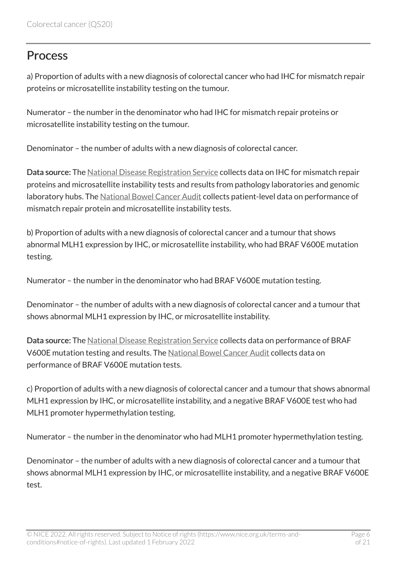#### **Process**

a) Proportion of adults with a new diagnosis of colorectal cancer who had IHC for mismatch repair proteins or microsatellite instability testing on the tumour.

Numerator – the number in the denominator who had IHC for mismatch repair proteins or microsatellite instability testing on the tumour.

Denominator – the number of adults with a new diagnosis of colorectal cancer.

Data source: The [National Disease Registration Service](https://www.ndrs.nhs.uk/) collects data on IHC for mismatch repair proteins and microsatellite instability tests and results from pathology laboratories and genomic laboratory hubs. The [National Bowel Cancer Audit](https://www.hqip.org.uk/a-z-of-nca/national-bowel-cancer-audit/#.YPaQYMSSkdU) collects patient-level data on performance of mismatch repair protein and microsatellite instability tests.

b) Proportion of adults with a new diagnosis of colorectal cancer and a tumour that shows abnormal MLH1 expression by IHC, or microsatellite instability, who had BRAF V600E mutation testing.

Numerator – the number in the denominator who had BRAF V600E mutation testing.

Denominator – the number of adults with a new diagnosis of colorectal cancer and a tumour that shows abnormal MLH1 expression by IHC, or microsatellite instability.

Data source: The [National Disease Registration Service](https://www.ndrs.nhs.uk/) collects data on performance of BRAF V600E mutation testing and results. The [National Bowel Cancer Audit](https://www.hqip.org.uk/a-z-of-nca/national-bowel-cancer-audit/#.YPaQYMSSkdU) collects data on performance of BRAF V600E mutation tests.

c) Proportion of adults with a new diagnosis of colorectal cancer and a tumour that shows abnormal MLH1 expression by IHC, or microsatellite instability, and a negative BRAF V600E test who had MLH1 promoter hypermethylation testing.

Numerator – the number in the denominator who had MLH1 promoter hypermethylation testing.

Denominator – the number of adults with a new diagnosis of colorectal cancer and a tumour that shows abnormal MLH1 expression by IHC, or microsatellite instability, and a negative BRAF V600E test.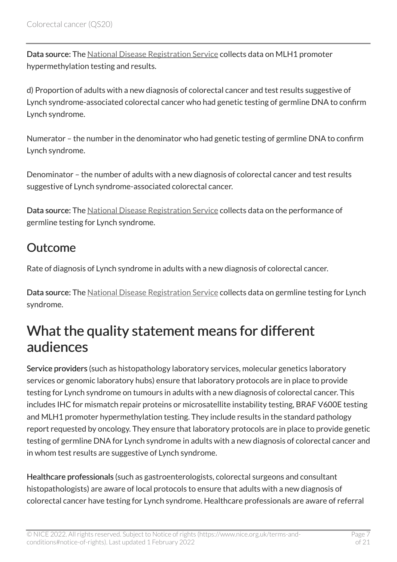Data source: The [National Disease Registration Service](https://www.ndrs.nhs.uk/) collects data on MLH1 promoter hypermethylation testing and results.

d) Proportion of adults with a new diagnosis of colorectal cancer and test results suggestive of Lynch syndrome-associated colorectal cancer who had genetic testing of germline DNA to confirm Lynch syndrome.

Numerator – the number in the denominator who had genetic testing of germline DNA to confirm Lynch syndrome.

Denominator – the number of adults with a new diagnosis of colorectal cancer and test results suggestive of Lynch syndrome-associated colorectal cancer.

Data source: The [National Disease Registration Service](https://www.ndrs.nhs.uk/) collects data on the performance of germline testing for Lynch syndrome.

#### Outcome

Rate of diagnosis of Lynch syndrome in adults with a new diagnosis of colorectal cancer.

Data source: The [National Disease Registration Service](https://www.ndrs.nhs.uk/) collects data on germline testing for Lynch syndrome.

### <span id="page-6-0"></span>What the quality statement means for different audiences

Service providers (such as histopathology laboratory services, molecular genetics laboratory services or genomic laboratory hubs) ensure that laboratory protocols are in place to provide testing for Lynch syndrome on tumours in adults with a new diagnosis of colorectal cancer. This includes IHC for mismatch repair proteins or microsatellite instability testing, BRAF V600E testing and MLH1 promoter hypermethylation testing. They include results in the standard pathology report requested by oncology. They ensure that laboratory protocols are in place to provide genetic testing of germline DNA for Lynch syndrome in adults with a new diagnosis of colorectal cancer and in whom test results are suggestive of Lynch syndrome.

Healthcare professionals (such as gastroenterologists, colorectal surgeons and consultant histopathologists) are aware of local protocols to ensure that adults with a new diagnosis of colorectal cancer have testing for Lynch syndrome. Healthcare professionals are aware of referral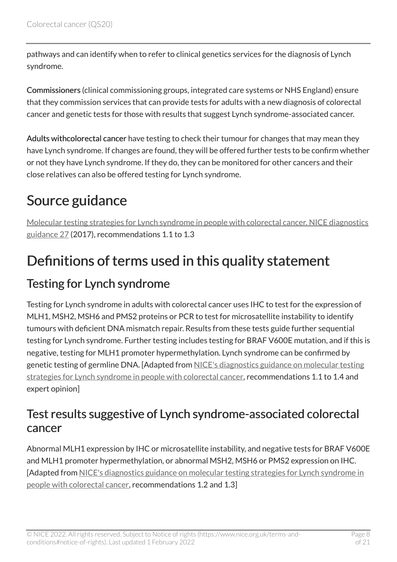pathways and can identify when to refer to clinical genetics services for the diagnosis of Lynch syndrome.

Commissioners (clinical commissioning groups, integrated care systems or NHS England) ensure that they commission services that can provide tests for adults with a new diagnosis of colorectal cancer and genetic tests for those with results that suggest Lynch syndrome-associated cancer.

Adults withcolorectal cancer have testing to check their tumour for changes that may mean they have Lynch syndrome. If changes are found, they will be offered further tests to be confirm whether or not they have Lynch syndrome. If they do, they can be monitored for other cancers and their close relatives can also be offered testing for Lynch syndrome.

### <span id="page-7-0"></span>Source guidance

[Molecular testing strategies for Lynch syndrome in people with colorectal cancer. NICE diagnostics](https://www.nice.org.uk/guidance/dg27/chapter/1-Recommendations)  [guidance 27](https://www.nice.org.uk/guidance/dg27/chapter/1-Recommendations) (2017), recommendations 1.1 to 1.3

### <span id="page-7-1"></span>Definitions of terms used in this quality statement

#### Testing for Lynch syndrome

Testing for Lynch syndrome in adults with colorectal cancer uses IHC to test for the expression of MLH1, MSH2, MSH6 and PMS2 proteins or PCR to test for microsatellite instability to identify tumours with deficient DNA mismatch repair. Results from these tests guide further sequential testing for Lynch syndrome. Further testing includes testing for BRAF V600E mutation, and if this is negative, testing for MLH1 promoter hypermethylation. Lynch syndrome can be confirmed by genetic testing of germline DNA. [Adapted from [NICE's diagnostics guidance on molecular testing](https://www.nice.org.uk/guidance/dg27) [strategies for Lynch syndrome in people with colorectal cancer](https://www.nice.org.uk/guidance/dg27), recommendations 1.1 to 1.4 and expert opinion]

#### Test results suggestive of Lynch syndrome-associated colorectal cancer

Abnormal MLH1 expression by IHC or microsatellite instability, and negative tests for BRAF V600E and MLH1 promoter hypermethylation, or abnormal MSH2, MSH6 or PMS2 expression on IHC. [Adapted from [NICE's diagnostics guidance on molecular testing strategies for Lynch syndrome in](https://www.nice.org.uk/guidance/dg27)  [people with colorectal cancer](https://www.nice.org.uk/guidance/dg27), recommendations 1.2 and 1.3]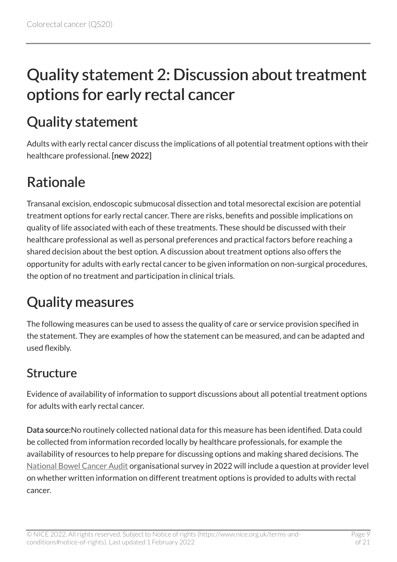# <span id="page-8-0"></span>Quality statement 2: Discussion about treatment options for early rectal cancer

### <span id="page-8-1"></span>Quality statement

Adults with early rectal cancer discuss the implications of all potential treatment options with their healthcare professional. [new 2022]

### <span id="page-8-2"></span>Rationale

Transanal excision, endoscopic submucosal dissection and total mesorectal excision are potential treatment options for early rectal cancer. There are risks, benefits and possible implications on quality of life associated with each of these treatments. These should be discussed with their healthcare professional as well as personal preferences and practical factors before reaching a shared decision about the best option. A discussion about treatment options also offers the opportunity for adults with early rectal cancer to be given information on non-surgical procedures, the option of no treatment and participation in clinical trials.

# <span id="page-8-3"></span>Quality measures

The following measures can be used to assess the quality of care or service provision specified in the statement. They are examples of how the statement can be measured, and can be adapted and used flexibly.

#### Structure

Evidence of availability of information to support discussions about all potential treatment options for adults with early rectal cancer.

Data source:No routinely collected national data for this measure has been identified. Data could be collected from information recorded locally by healthcare professionals, for example the availability of resources to help prepare for discussing options and making shared decisions. The [National Bowel Cancer Audit](https://www.hqip.org.uk/a-z-of-nca/national-bowel-cancer-audit/#.YPaQYMSSkdU) organisational survey in 2022 will include a question at provider level on whether written information on different treatment options is provided to adults with rectal cancer.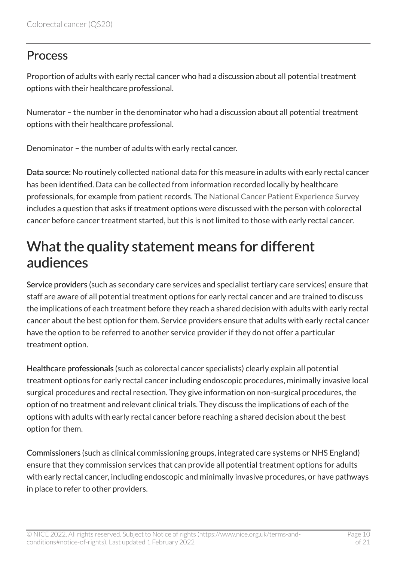#### **Process**

Proportion of adults with early rectal cancer who had a discussion about all potential treatment options with their healthcare professional.

Numerator – the number in the denominator who had a discussion about all potential treatment options with their healthcare professional.

Denominator – the number of adults with early rectal cancer.

Data source: No routinely collected national data for this measure in adults with early rectal cancer has been identified. Data can be collected from information recorded locally by healthcare professionals, for example from patient records. The [National Cancer Patient Experience Survey](https://www.ncpes.co.uk/)  includes a question that asks if treatment options were discussed with the person with colorectal cancer before cancer treatment started, but this is not limited to those with early rectal cancer.

### <span id="page-9-0"></span>What the quality statement means for different audiences

Service providers (such as secondary care services and specialist tertiary care services) ensure that staff are aware of all potential treatment options for early rectal cancer and are trained to discuss the implications of each treatment before they reach a shared decision with adults with early rectal cancer about the best option for them. Service providers ensure that adults with early rectal cancer have the option to be referred to another service provider if they do not offer a particular treatment option.

Healthcare professionals (such as colorectal cancer specialists) clearly explain all potential treatment options for early rectal cancer including endoscopic procedures, minimally invasive local surgical procedures and rectal resection. They give information on non-surgical procedures, the option of no treatment and relevant clinical trials. They discuss the implications of each of the options with adults with early rectal cancer before reaching a shared decision about the best option for them.

Commissioners (such as clinical commissioning groups, integrated care systems or NHS England) ensure that they commission services that can provide all potential treatment options for adults with early rectal cancer, including endoscopic and minimally invasive procedures, or have pathways in place to refer to other providers.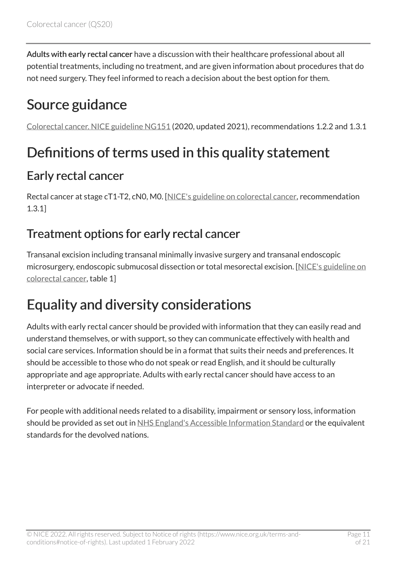Adults with early rectal cancer have a discussion with their healthcare professional about all potential treatments, including no treatment, and are given information about procedures that do not need surgery. They feel informed to reach a decision about the best option for them.

### <span id="page-10-0"></span>Source guidance

[Colorectal cancer. NICE guideline NG151](https://www.nice.org.uk/guidance/ng151) (2020, updated 2021), recommendations 1.2.2 and 1.3.1

### <span id="page-10-1"></span>Definitions of terms used in this quality statement

#### Early rectal cancer

Rectal cancer at stage cT1-T2, cN0, M0. [[NICE's guideline on colorectal cancer,](https://www.nice.org.uk/guidance/ng151) recommendation 1.3.1]

#### Treatment options for early rectal cancer

Transanal excision including transanal minimally invasive surgery and transanal endoscopic microsurgery, endoscopic submucosal dissection or total mesorectal excision. [\[NICE's guideline on](https://www.nice.org.uk/guidance/ng151)  [colorectal cancer,](https://www.nice.org.uk/guidance/ng151) table 1]

### <span id="page-10-2"></span>Equality and diversity considerations

Adults with early rectal cancer should be provided with information that they can easily read and understand themselves, or with support, so they can communicate effectively with health and social care services. Information should be in a format that suits their needs and preferences. It should be accessible to those who do not speak or read English, and it should be culturally appropriate and age appropriate. Adults with early rectal cancer should have access to an interpreter or advocate if needed.

For people with additional needs related to a disability, impairment or sensory loss, information should be provided as set out in [NHS England's Accessible Information Standard](https://www.england.nhs.uk/ourwork/accessibleinfo/) or the equivalent standards for the devolved nations.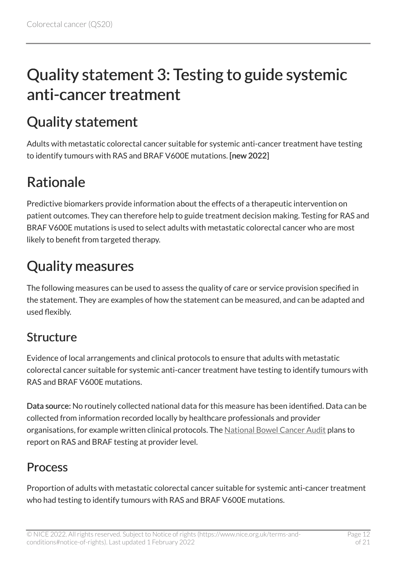# <span id="page-11-0"></span>Quality statement 3: Testing to guide systemic anti-cancer treatment

### <span id="page-11-1"></span>Quality statement

Adults with metastatic colorectal cancer suitable for systemic anti-cancer treatment have testing to identify tumours with RAS and BRAF V600E mutations. [new 2022]

### <span id="page-11-2"></span>Rationale

Predictive biomarkers provide information about the effects of a therapeutic intervention on patient outcomes. They can therefore help to guide treatment decision making. Testing for RAS and BRAF V600E mutations is used to select adults with metastatic colorectal cancer who are most likely to benefit from targeted therapy.

### <span id="page-11-3"></span>Quality measures

The following measures can be used to assess the quality of care or service provision specified in the statement. They are examples of how the statement can be measured, and can be adapted and used flexibly.

#### Structure

Evidence of local arrangements and clinical protocols to ensure that adults with metastatic colorectal cancer suitable for systemic anti-cancer treatment have testing to identify tumours with RAS and BRAF V600E mutations.

Data source: No routinely collected national data for this measure has been identified. Data can be collected from information recorded locally by healthcare professionals and provider organisations, for example written clinical protocols. The [National Bowel Cancer Audit](https://www.hqip.org.uk/a-z-of-nca/national-bowel-cancer-audit/#.YPaQYMSSkdU) plans to report on RAS and BRAF testing at provider level.

#### **Process**

Proportion of adults with metastatic colorectal cancer suitable for systemic anti-cancer treatment who had testing to identify tumours with RAS and BRAF V600E mutations.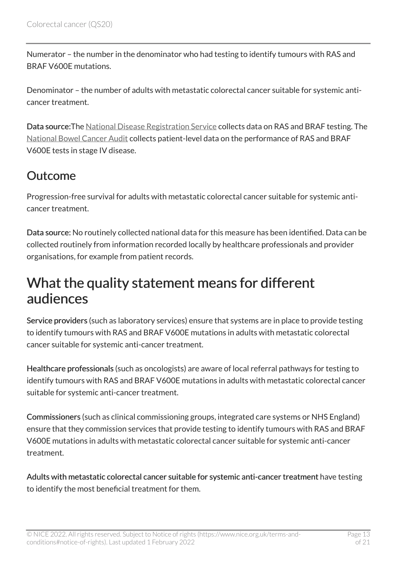Numerator – the number in the denominator who had testing to identify tumours with RAS and BRAF V600E mutations.

Denominator – the number of adults with metastatic colorectal cancer suitable for systemic anticancer treatment.

Data source:The [National Disease Registration Service](https://www.ndrs.nhs.uk/) collects data on RAS and BRAF testing. The [National Bowel Cancer Audit](https://www.hqip.org.uk/a-z-of-nca/national-bowel-cancer-audit/#.YPaQYMSSkdU) collects patient-level data on the performance of RAS and BRAF V600E tests in stage IV disease.

#### **Outcome**

Progression-free survival for adults with metastatic colorectal cancer suitable for systemic anticancer treatment.

Data source: No routinely collected national data for this measure has been identified. Data can be collected routinely from information recorded locally by healthcare professionals and provider organisations, for example from patient records.

#### <span id="page-12-0"></span>What the quality statement means for different audiences

Service providers (such as laboratory services) ensure that systems are in place to provide testing to identify tumours with RAS and BRAF V600E mutations in adults with metastatic colorectal cancer suitable for systemic anti-cancer treatment.

Healthcare professionals (such as oncologists) are aware of local referral pathways for testing to identify tumours with RAS and BRAF V600E mutations in adults with metastatic colorectal cancer suitable for systemic anti-cancer treatment.

Commissioners (such as clinical commissioning groups, integrated care systems or NHS England) ensure that they commission services that provide testing to identify tumours with RAS and BRAF V600E mutations in adults with metastatic colorectal cancer suitable for systemic anti-cancer treatment.

Adults with metastatic colorectal cancer suitable for systemic anti-cancer treatment have testing to identify the most beneficial treatment for them.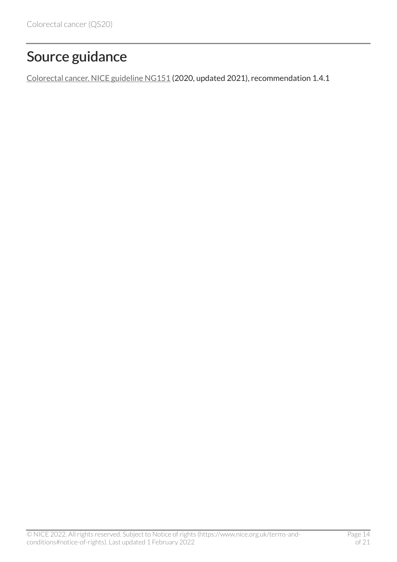### <span id="page-13-0"></span>Source guidance

[Colorectal cancer. NICE guideline NG151](https://www.nice.org.uk/guidance/ng151) (2020, updated 2021), recommendation 1.4.1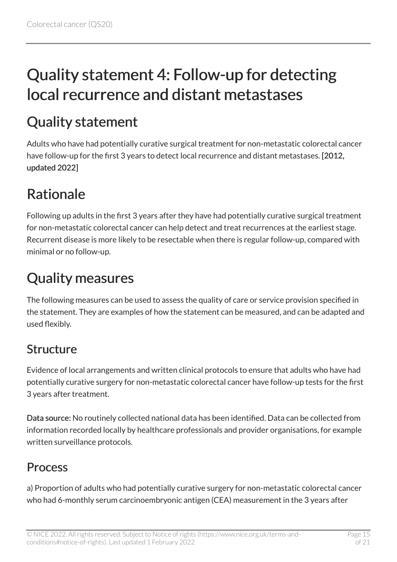# <span id="page-14-0"></span>Quality statement 4: Follow-up for detecting local recurrence and distant metastases

### <span id="page-14-1"></span>Quality statement

Adults who have had potentially curative surgical treatment for non-metastatic colorectal cancer have follow-up for the first 3 years to detect local recurrence and distant metastases. [2012, updated 2022]

### <span id="page-14-2"></span>Rationale

Following up adults in the first 3 years after they have had potentially curative surgical treatment for non-metastatic colorectal cancer can help detect and treat recurrences at the earliest stage. Recurrent disease is more likely to be resectable when there is regular follow-up, compared with minimal or no follow-up.

# <span id="page-14-3"></span>Quality measures

The following measures can be used to assess the quality of care or service provision specified in the statement. They are examples of how the statement can be measured, and can be adapted and used flexibly.

#### Structure

Evidence of local arrangements and written clinical protocols to ensure that adults who have had potentially curative surgery for non-metastatic colorectal cancer have follow-up tests for the first 3 years after treatment.

Data source: No routinely collected national data has been identified. Data can be collected from information recorded locally by healthcare professionals and provider organisations, for example written surveillance protocols.

#### **Process**

a) Proportion of adults who had potentially curative surgery for non-metastatic colorectal cancer who had 6-monthly serum carcinoembryonic antigen (CEA) measurement in the 3 years after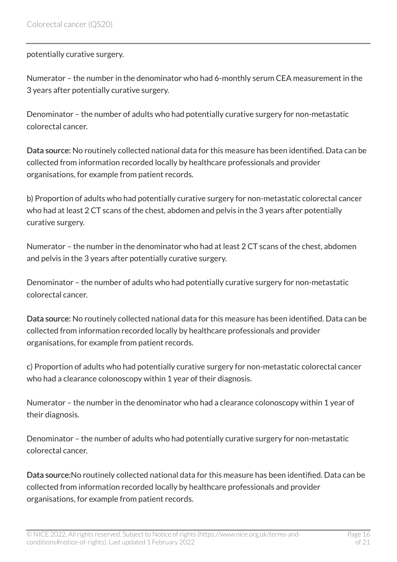#### potentially curative surgery.

Numerator – the number in the denominator who had 6-monthly serum CEA measurement in the 3 years after potentially curative surgery.

Denominator – the number of adults who had potentially curative surgery for non-metastatic colorectal cancer.

Data source: No routinely collected national data for this measure has been identified. Data can be collected from information recorded locally by healthcare professionals and provider organisations, for example from patient records.

b) Proportion of adults who had potentially curative surgery for non-metastatic colorectal cancer who had at least 2 CT scans of the chest, abdomen and pelvis in the 3 years after potentially curative surgery.

Numerator – the number in the denominator who had at least 2 CT scans of the chest, abdomen and pelvis in the 3 years after potentially curative surgery.

Denominator – the number of adults who had potentially curative surgery for non-metastatic colorectal cancer.

Data source: No routinely collected national data for this measure has been identified. Data can be collected from information recorded locally by healthcare professionals and provider organisations, for example from patient records.

c) Proportion of adults who had potentially curative surgery for non-metastatic colorectal cancer who had a clearance colonoscopy within 1 year of their diagnosis.

Numerator – the number in the denominator who had a clearance colonoscopy within 1 year of their diagnosis.

Denominator – the number of adults who had potentially curative surgery for non-metastatic colorectal cancer.

Data source:No routinely collected national data for this measure has been identified. Data can be collected from information recorded locally by healthcare professionals and provider organisations, for example from patient records.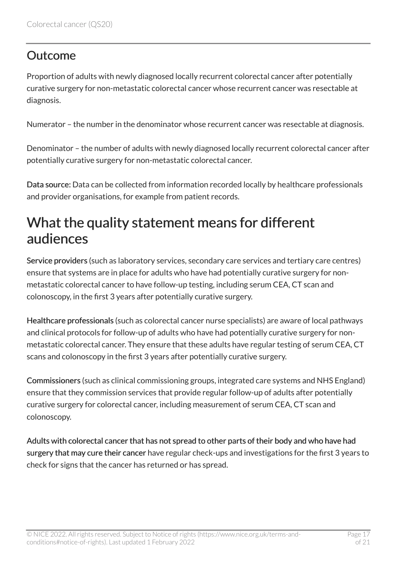#### **Outcome**

Proportion of adults with newly diagnosed locally recurrent colorectal cancer after potentially curative surgery for non-metastatic colorectal cancer whose recurrent cancer was resectable at diagnosis.

Numerator – the number in the denominator whose recurrent cancer was resectable at diagnosis.

Denominator – the number of adults with newly diagnosed locally recurrent colorectal cancer after potentially curative surgery for non-metastatic colorectal cancer.

Data source: Data can be collected from information recorded locally by healthcare professionals and provider organisations, for example from patient records.

### <span id="page-16-0"></span>What the quality statement means for different audiences

Service providers (such as laboratory services, secondary care services and tertiary care centres) ensure that systems are in place for adults who have had potentially curative surgery for nonmetastatic colorectal cancer to have follow-up testing, including serum CEA, CT scan and colonoscopy, in the first 3 years after potentially curative surgery.

Healthcare professionals (such as colorectal cancer nurse specialists) are aware of local pathways and clinical protocols for follow-up of adults who have had potentially curative surgery for nonmetastatic colorectal cancer. They ensure that these adults have regular testing of serum CEA, CT scans and colonoscopy in the first 3 years after potentially curative surgery.

Commissioners (such as clinical commissioning groups, integrated care systems and NHS England) ensure that they commission services that provide regular follow-up of adults after potentially curative surgery for colorectal cancer, including measurement of serum CEA, CT scan and colonoscopy.

Adults with colorectal cancer that has not spread to other parts of their body and who have had surgery that may cure their cancer have regular check-ups and investigations for the first 3 years to check for signs that the cancer has returned or has spread.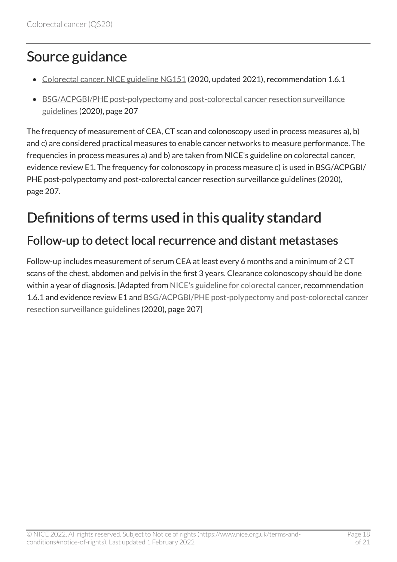### <span id="page-17-0"></span>Source guidance

- [Colorectal cancer. NICE guideline NG151](https://www.nice.org.uk/guidance/ng151) (2020, updated 2021), recommendation 1.6.1
- [BSG/ACPGBI/PHE post-polypectomy and post-colorectal cancer resection surveillance](https://www.bsg.org.uk/clinical-resource/bsg-acpgbi-phe-post-polypectomy-and-post-colorectal-cancer-resection-surveillance-guidelines/) [guidelines](https://www.bsg.org.uk/clinical-resource/bsg-acpgbi-phe-post-polypectomy-and-post-colorectal-cancer-resection-surveillance-guidelines/) (2020), page 207

The frequency of measurement of CEA, CT scan and colonoscopy used in process measures a), b) and c) are considered practical measures to enable cancer networks to measure performance. The frequencies in process measures a) and b) are taken from NICE's guideline on colorectal cancer, evidence review E1. The frequency for colonoscopy in process measure c) is used in BSG/ACPGBI/ PHE post-polypectomy and post-colorectal cancer resection surveillance guidelines (2020), page 207.

### <span id="page-17-1"></span>Definitions of terms used in this quality standard

#### Follow-up to detect local recurrence and distant metastases

Follow-up includes measurement of serum CEA at least every 6 months and a minimum of 2 CT scans of the chest, abdomen and pelvis in the first 3 years. Clearance colonoscopy should be done within a year of diagnosis. [Adapted from [NICE's guideline for colorectal cancer,](https://www.nice.org.uk/guidance/ng151) recommendation 1.6.1 and evidence review E1 and [BSG/ACPGBI/PHE post-polypectomy and post-colorectal cancer](https://www.bsg.org.uk/clinical-resource/bsg-acpgbi-phe-post-polypectomy-and-post-colorectal-cancer-resection-surveillance-guidelines/)  [resection surveillance guidelines](https://www.bsg.org.uk/clinical-resource/bsg-acpgbi-phe-post-polypectomy-and-post-colorectal-cancer-resection-surveillance-guidelines/) (2020), page 207]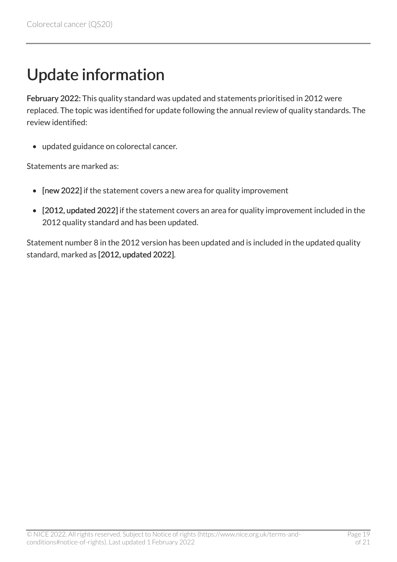# <span id="page-18-0"></span>Update information

February 2022: This quality standard was updated and statements prioritised in 2012 were replaced. The topic was identified for update following the annual review of quality standards. The review identified:

• updated guidance on colorectal cancer.

Statements are marked as:

- [new 2022] if the statement covers a new area for quality improvement
- [2012, updated 2022] if the statement covers an area for quality improvement included in the 2012 quality standard and has been updated.

Statement number 8 in the 2012 version has been updated and is included in the updated quality standard, marked as [2012, updated 2022].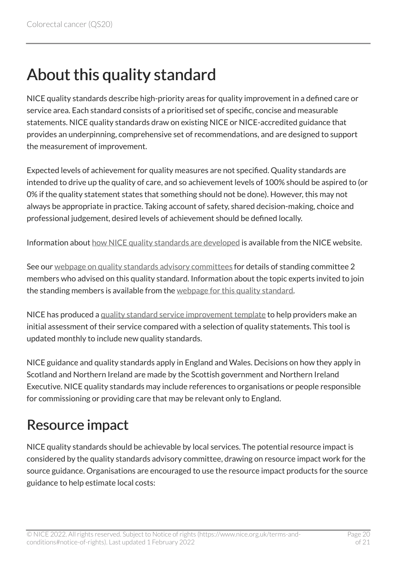# <span id="page-19-0"></span>About this quality standard

NICE quality standards describe high-priority areas for quality improvement in a defined care or service area. Each standard consists of a prioritised set of specific, concise and measurable statements. NICE quality standards draw on existing NICE or NICE-accredited guidance that provides an underpinning, comprehensive set of recommendations, and are designed to support the measurement of improvement.

Expected levels of achievement for quality measures are not specified. Quality standards are intended to drive up the quality of care, and so achievement levels of 100% should be aspired to (or 0% if the quality statement states that something should not be done). However, this may not always be appropriate in practice. Taking account of safety, shared decision-making, choice and professional judgement, desired levels of achievement should be defined locally.

Information about [how NICE quality standards are developed](https://www.nice.org.uk/standards-and-indicators/timeline-developing-quality-standards) is available from the NICE website.

See our [webpage on quality standards advisory committees](http://www.nice.org.uk/Get-Involved/Meetings-in-public/Quality-Standards-Advisory-Committee) for details of standing committee 2 members who advised on this quality standard. Information about the topic experts invited to join the standing members is available from the [webpage for this quality standard.](http://www.nice.org.uk/guidance/qs20/documents)

NICE has produced a [quality standard service improvement template](https://www.nice.org.uk/guidance/qs20/resources) to help providers make an initial assessment of their service compared with a selection of quality statements. This tool is updated monthly to include new quality standards.

NICE guidance and quality standards apply in England and Wales. Decisions on how they apply in Scotland and Northern Ireland are made by the Scottish government and Northern Ireland Executive. NICE quality standards may include references to organisations or people responsible for commissioning or providing care that may be relevant only to England.

#### <span id="page-19-1"></span>Resource impact

NICE quality standards should be achievable by local services. The potential resource impact is considered by the quality standards advisory committee, drawing on resource impact work for the source guidance. Organisations are encouraged to use the resource impact products for the source guidance to help estimate local costs: